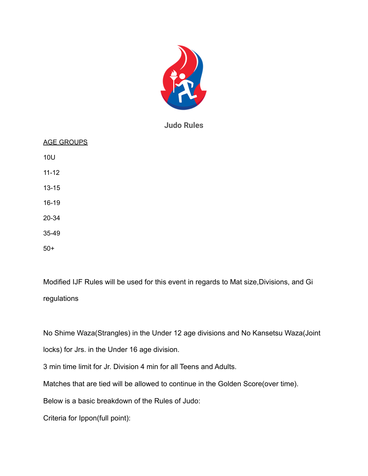

**Judo Rules**

## AGE GROUPS

10U

11-12

13-15

- 16-19
- 20-34
- 35-49

50+

Modified IJF Rules will be used for this event in regards to Mat size,Divisions, and Gi regulations

No Shime Waza(Strangles) in the Under 12 age divisions and No Kansetsu Waza(Joint

locks) for Jrs. in the Under 16 age division.

3 min time limit for Jr. Division 4 min for all Teens and Adults.

Matches that are tied will be allowed to continue in the Golden Score(over time).

Below is a basic breakdown of the Rules of Judo:

Criteria for Ippon(full point):